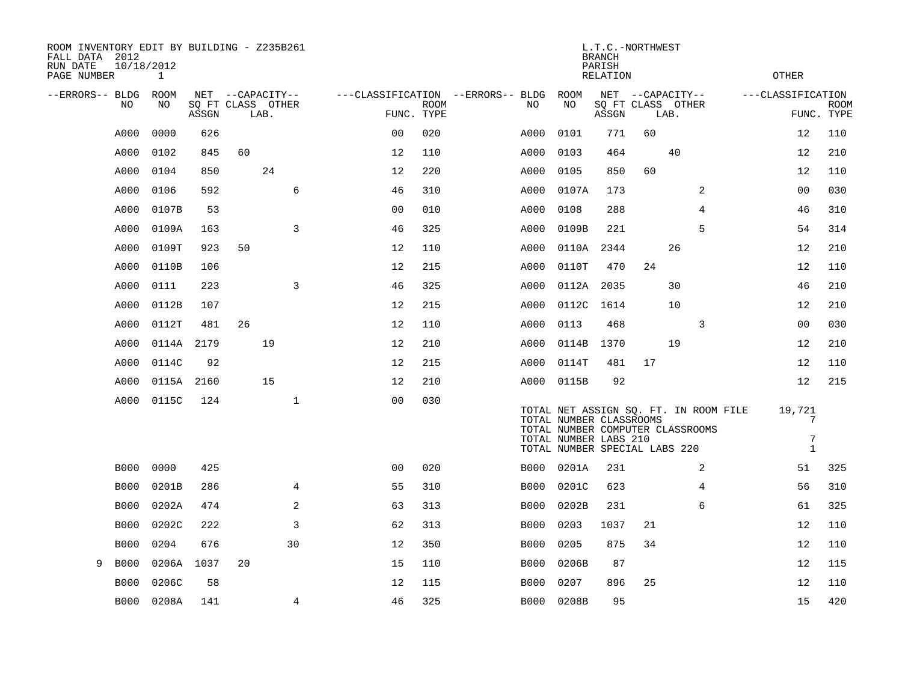| ROOM INVENTORY EDIT BY BUILDING - Z235B261<br>FALL DATA 2012<br>RUN DATE<br>PAGE NUMBER | 10/18/2012<br>1 |            |                                               |                |                           |                                          |                                                                                   | <b>BRANCH</b><br>PARISH<br><b>RELATION</b> | L.T.C.-NORTHWEST |                                                                           | <b>OTHER</b>      |                           |
|-----------------------------------------------------------------------------------------|-----------------|------------|-----------------------------------------------|----------------|---------------------------|------------------------------------------|-----------------------------------------------------------------------------------|--------------------------------------------|------------------|---------------------------------------------------------------------------|-------------------|---------------------------|
| --ERRORS-- BLDG<br>NO                                                                   | ROOM<br>NO      | ASSGN      | NET --CAPACITY--<br>SQ FT CLASS OTHER<br>LAB. |                | <b>ROOM</b><br>FUNC. TYPE | ---CLASSIFICATION --ERRORS-- BLDG<br>NO. | ROOM<br>NO                                                                        | ASSGN                                      |                  | NET --CAPACITY--<br>SQ FT CLASS OTHER<br>LAB.                             | ---CLASSIFICATION | <b>ROOM</b><br>FUNC. TYPE |
| A000                                                                                    | 0000            | 626        |                                               | 0 <sub>0</sub> | 020                       | A000                                     | 0101                                                                              | 771                                        | 60               |                                                                           | 12                | 110                       |
| A000                                                                                    | 0102            | 845        | 60                                            | 12             | 110                       | A000                                     | 0103                                                                              | 464                                        |                  | 40                                                                        | 12                | 210                       |
| A000                                                                                    | 0104            | 850        | 24                                            | 12             | 220                       | A000                                     | 0105                                                                              | 850                                        | 60               |                                                                           | 12                | 110                       |
| A000                                                                                    | 0106            | 592        | 6                                             | 46             | 310                       | A000                                     | 0107A                                                                             | 173                                        |                  | 2                                                                         | 0 <sub>0</sub>    | 030                       |
| A000                                                                                    | 0107B           | 53         |                                               | 0 <sub>0</sub> | 010                       | A000                                     | 0108                                                                              | 288                                        |                  | 4                                                                         | 46                | 310                       |
| A000                                                                                    | 0109A           | 163        | $\overline{3}$                                | 46             | 325                       | A000                                     | 0109B                                                                             | 221                                        |                  | 5                                                                         | 54                | 314                       |
| A000                                                                                    | 0109T           | 923        | 50                                            | 12             | 110                       | A000                                     | 0110A                                                                             | 2344                                       |                  | 26                                                                        | 12                | 210                       |
| A000                                                                                    | 0110B           | 106        |                                               | 12             | 215                       | A000                                     | 0110T                                                                             | 470                                        | 24               |                                                                           | 12                | 110                       |
| A000                                                                                    | 0111            | 223        | 3                                             | 46             | 325                       | A000                                     | 0112A                                                                             | 2035                                       |                  | 30                                                                        | 46                | 210                       |
| A000                                                                                    | 0112B           | 107        |                                               | 12             | 215                       | A000                                     | 0112C                                                                             | 1614                                       |                  | 10                                                                        | 12                | 210                       |
| A000                                                                                    | 0112T           | 481        | 26                                            | 12             | 110                       | A000                                     | 0113                                                                              | 468                                        |                  | 3                                                                         | 0 <sub>0</sub>    | 030                       |
| A000                                                                                    | 0114A           | 2179       | 19                                            | 12             | 210                       | A000                                     | 0114B                                                                             | 1370                                       |                  | 19                                                                        | 12                | 210                       |
| A000                                                                                    | 0114C           | 92         |                                               | 12             | 215                       | A000                                     | 0114T                                                                             | 481                                        | 17               |                                                                           | 12                | 110                       |
| A000                                                                                    |                 | 0115A 2160 | 15                                            | 12             | 210                       | A000                                     | 0115B                                                                             | 92                                         |                  |                                                                           | 12                | 215                       |
| A000                                                                                    | 0115C           | 124        | $\mathbf{1}$                                  | 0 <sub>0</sub> | 030                       |                                          | TOTAL NUMBER CLASSROOMS<br>TOTAL NUMBER LABS 210<br>TOTAL NUMBER SPECIAL LABS 220 |                                            |                  | TOTAL NET ASSIGN SQ. FT. IN ROOM FILE<br>TOTAL NUMBER COMPUTER CLASSROOMS | 19,721            | 7<br>7<br>$\mathbf{1}$    |
| <b>B000</b>                                                                             | 0000            | 425        |                                               | 0 <sub>0</sub> | 020                       | B000                                     | 0201A                                                                             | 231                                        |                  | 2                                                                         | 51                | 325                       |
| <b>B000</b>                                                                             | 0201B           | 286        | $\overline{4}$                                | 55             | 310                       | B000                                     | 0201C                                                                             | 623                                        |                  | $\overline{4}$                                                            | 56                | 310                       |
| <b>B000</b>                                                                             | 0202A           | 474        | 2                                             | 63             | 313                       | B000                                     | 0202B                                                                             | 231                                        |                  | 6                                                                         | 61                | 325                       |
| <b>B000</b>                                                                             | 0202C           | 222        | 3                                             | 62             | 313                       | B000                                     | 0203                                                                              | 1037                                       | 21               |                                                                           | 12                | 110                       |
| <b>B000</b>                                                                             | 0204            | 676        | 30                                            | 12             | 350                       | B000                                     | 0205                                                                              | 875                                        | 34               |                                                                           | 12                | 110                       |
| <b>B000</b><br>9                                                                        | 0206A           | 1037       | 20                                            | 15             | 110                       | B000                                     | 0206B                                                                             | 87                                         |                  |                                                                           | 12                | 115                       |
| <b>B000</b>                                                                             | 0206C           | 58         |                                               | 12             | 115                       | <b>B000</b>                              | 0207                                                                              | 896                                        | 25               |                                                                           | 12                | 110                       |
| <b>B000</b>                                                                             | 0208A           | 141        | 4                                             | 46             | 325                       |                                          | B000 0208B                                                                        | 95                                         |                  |                                                                           | 15                | 420                       |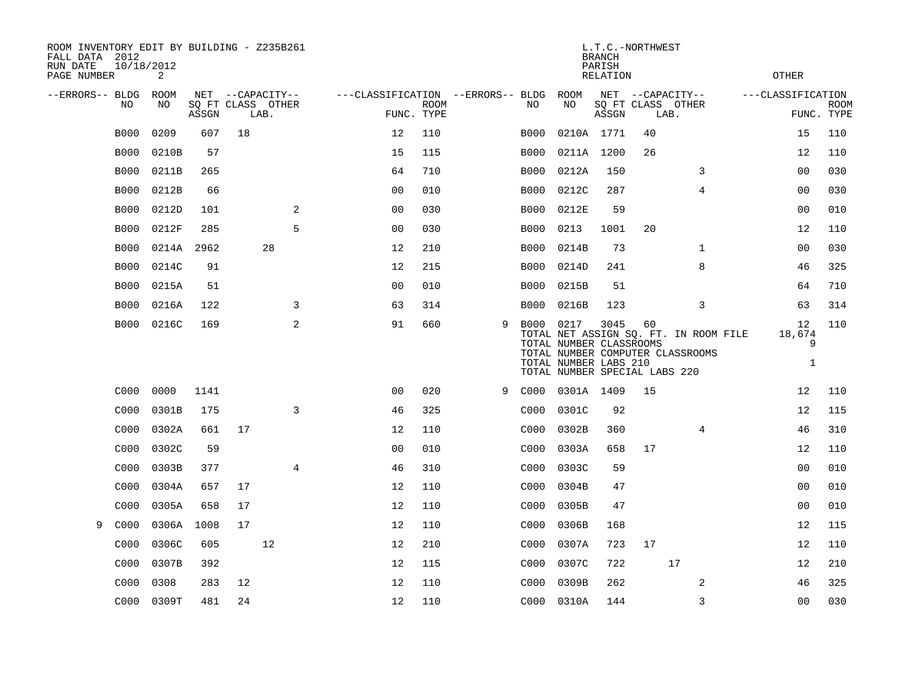| ROOM INVENTORY EDIT BY BUILDING - Z235B261<br>FALL DATA 2012<br>RUN DATE<br>PAGE NUMBER | 10/18/2012<br>2 |       |                                               |    |                                                 |             |   |             |                                                                                   | <b>BRANCH</b><br>PARISH<br><b>RELATION</b> | L.T.C.-NORTHWEST |                                                                           | <b>OTHER</b>                                   |                           |
|-----------------------------------------------------------------------------------------|-----------------|-------|-----------------------------------------------|----|-------------------------------------------------|-------------|---|-------------|-----------------------------------------------------------------------------------|--------------------------------------------|------------------|---------------------------------------------------------------------------|------------------------------------------------|---------------------------|
| --ERRORS-- BLDG<br>NO                                                                   | ROOM<br>NO      | ASSGN | NET --CAPACITY--<br>SQ FT CLASS OTHER<br>LAB. |    | ---CLASSIFICATION --ERRORS-- BLDG<br>FUNC. TYPE | <b>ROOM</b> |   | NO.         | ROOM<br>NO                                                                        | ASSGN                                      | LAB.             | NET --CAPACITY--<br>SQ FT CLASS OTHER                                     | ---CLASSIFICATION                              | <b>ROOM</b><br>FUNC. TYPE |
| <b>B000</b>                                                                             | 0209            | 607   | 18                                            |    | 12                                              | 110         |   | <b>B000</b> | 0210A 1771                                                                        |                                            | 40               |                                                                           | 15                                             | 110                       |
| <b>B000</b>                                                                             | 0210B           | 57    |                                               |    | 15                                              | 115         |   | <b>B000</b> | 0211A 1200                                                                        |                                            | 26               |                                                                           | 12                                             | 110                       |
| <b>B000</b>                                                                             | 0211B           | 265   |                                               |    | 64                                              | 710         |   | B000        | 0212A                                                                             | 150                                        |                  | 3                                                                         | 00                                             | 030                       |
| <b>B000</b>                                                                             | 0212B           | 66    |                                               |    | 00                                              | 010         |   | <b>B000</b> | 0212C                                                                             | 287                                        |                  | 4                                                                         | 0 <sub>0</sub>                                 | 030                       |
| <b>B000</b>                                                                             | 0212D           | 101   |                                               | 2  | 0 <sub>0</sub>                                  | 030         |   | B000        | 0212E                                                                             | 59                                         |                  |                                                                           | 00                                             | 010                       |
| <b>B000</b>                                                                             | 0212F           | 285   |                                               | 5  | 0 <sub>0</sub>                                  | 030         |   | B000        | 0213                                                                              | 1001                                       | 20               |                                                                           | 12                                             | 110                       |
| <b>B000</b>                                                                             | 0214A           | 2962  |                                               | 28 | 12                                              | 210         |   | B000        | 0214B                                                                             | 73                                         |                  | $\mathbf{1}$                                                              | 0 <sub>0</sub>                                 | 030                       |
| <b>B000</b>                                                                             | 0214C           | 91    |                                               |    | 12                                              | 215         |   | <b>B000</b> | 0214D                                                                             | 241                                        |                  | 8                                                                         | 46                                             | 325                       |
| <b>B000</b>                                                                             | 0215A           | 51    |                                               |    | 0 <sub>0</sub>                                  | 010         |   | B000        | 0215B                                                                             | 51                                         |                  |                                                                           | 64                                             | 710                       |
| <b>B000</b>                                                                             | 0216A           | 122   |                                               | 3  | 63                                              | 314         |   | B000        | 0216B                                                                             | 123                                        |                  | 3                                                                         | 63                                             | 314                       |
| B000                                                                                    | 0216C           | 169   |                                               | 2  | 91                                              | 660         | 9 | B000 0217   | TOTAL NUMBER CLASSROOMS<br>TOTAL NUMBER LABS 210<br>TOTAL NUMBER SPECIAL LABS 220 | 3045                                       | 60               | TOTAL NET ASSIGN SQ. FT. IN ROOM FILE<br>TOTAL NUMBER COMPUTER CLASSROOMS | 12 <sup>°</sup><br>18,674<br>9<br>$\mathbf{1}$ | 110                       |
| C000                                                                                    | 0000            | 1141  |                                               |    | 0 <sub>0</sub>                                  | 020         | 9 | C000        | 0301A 1409                                                                        |                                            | 15               |                                                                           | 12                                             | 110                       |
| C000                                                                                    | 0301B           | 175   |                                               | 3  | 46                                              | 325         |   | C000        | 0301C                                                                             | 92                                         |                  |                                                                           | 12                                             | 115                       |
| C000                                                                                    | 0302A           | 661   | 17                                            |    | 12                                              | 110         |   | C000        | 0302B                                                                             | 360                                        |                  | 4                                                                         | 46                                             | 310                       |
| C000                                                                                    | 0302C           | 59    |                                               |    | 0 <sub>0</sub>                                  | 010         |   | C000        | 0303A                                                                             | 658                                        | 17               |                                                                           | 12                                             | 110                       |
| C <sub>000</sub>                                                                        | 0303B           | 377   |                                               | 4  | 46                                              | 310         |   | C000        | 0303C                                                                             | 59                                         |                  |                                                                           | 0 <sub>0</sub>                                 | 010                       |
| C000                                                                                    | 0304A           | 657   | 17                                            |    | 12                                              | 110         |   | C000        | 0304B                                                                             | 47                                         |                  |                                                                           | 0 <sub>0</sub>                                 | 010                       |
| C000                                                                                    | 0305A           | 658   | 17                                            |    | 12                                              | 110         |   | C000        | 0305B                                                                             | 47                                         |                  |                                                                           | 00                                             | 010                       |
| C000<br>9                                                                               | 0306A           | 1008  | 17                                            |    | 12                                              | 110         |   | C000        | 0306B                                                                             | 168                                        |                  |                                                                           | 12                                             | 115                       |
| C000                                                                                    | 0306C           | 605   |                                               | 12 | 12                                              | 210         |   | C000        | 0307A                                                                             | 723                                        | 17               |                                                                           | 12                                             | 110                       |
| C <sub>000</sub>                                                                        | 0307B           | 392   |                                               |    | 12                                              | 115         |   | C000        | 0307C                                                                             | 722                                        |                  | 17                                                                        | 12                                             | 210                       |
| C000                                                                                    | 0308            | 283   | 12                                            |    | 12                                              | 110         |   | C000        | 0309B                                                                             | 262                                        |                  | 2                                                                         | 46                                             | 325                       |
| C000                                                                                    | 0309T           | 481   | 24                                            |    | 12                                              | 110         |   |             | C000 0310A                                                                        | 144                                        |                  | 3                                                                         | 0 <sub>0</sub>                                 | 030                       |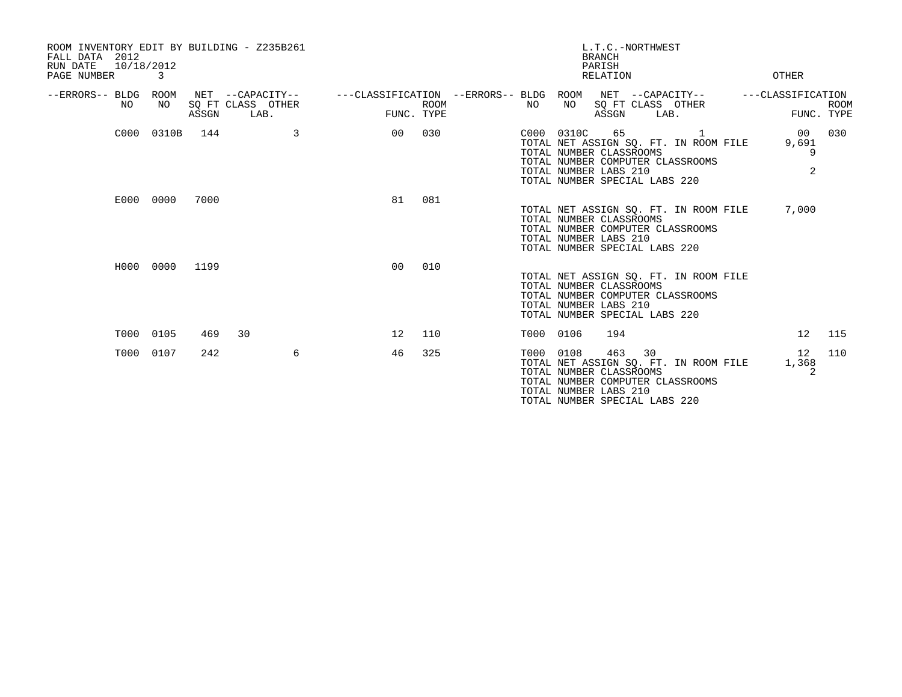| ROOM INVENTORY EDIT BY BUILDING - Z235B261<br>FALL DATA 2012<br>10/18/2012<br>RUN DATE<br>PAGE NUMBER | 3          |       |                                               |                                                         |                           |           |            | L.T.C.-NORTHWEST<br><b>BRANCH</b><br>PARISH<br>RELATION                                        |                                                                                             | OTHER                              |             |
|-------------------------------------------------------------------------------------------------------|------------|-------|-----------------------------------------------|---------------------------------------------------------|---------------------------|-----------|------------|------------------------------------------------------------------------------------------------|---------------------------------------------------------------------------------------------|------------------------------------|-------------|
| --ERRORS-- BLDG ROOM<br>NO.                                                                           | NO         | ASSGN | NET --CAPACITY--<br>SQ FT CLASS OTHER<br>LAB. | ---CLASSIFICATION --ERRORS-- BLDG ROOM NET --CAPACITY-- | <b>ROOM</b><br>FUNC. TYPE | NO        | NO         | ASSGN                                                                                          | SQ FT CLASS OTHER<br>LAB.                                                                   | ---CLASSIFICATION<br>FUNC. TYPE    | <b>ROOM</b> |
|                                                                                                       | C000 0310B | 144   | 3                                             | 00                                                      | 030                       |           | C000 0310C | 65<br>TOTAL NUMBER CLASSROOMS<br>TOTAL NUMBER LABS 210<br>TOTAL NUMBER SPECIAL LABS 220        | $\overline{1}$<br>TOTAL NET ASSIGN SQ. FT. IN ROOM FILE<br>TOTAL NUMBER COMPUTER CLASSROOMS | 00 <sub>o</sub><br>9,691<br>9<br>2 | 030         |
|                                                                                                       | E000 0000  | 7000  |                                               | 81                                                      | 081                       |           |            | TOTAL NUMBER CLASSROOMS<br>TOTAL NUMBER LABS 210<br>TOTAL NUMBER SPECIAL LABS 220              | TOTAL NET ASSIGN SQ. FT. IN ROOM FILE<br>TOTAL NUMBER COMPUTER CLASSROOMS                   | 7,000                              |             |
|                                                                                                       | H000 0000  | 1199  |                                               | 0 <sub>0</sub>                                          | 010                       |           |            | TOTAL NUMBER CLASSROOMS<br>TOTAL NUMBER LABS 210<br>TOTAL NUMBER SPECIAL LABS 220              | TOTAL NET ASSIGN SQ. FT. IN ROOM FILE<br>TOTAL NUMBER COMPUTER CLASSROOMS                   |                                    |             |
| T000                                                                                                  | 0105       | 469   | 30                                            | 12                                                      | 110                       | T000 0106 |            | 194                                                                                            |                                                                                             | 12                                 | 115         |
|                                                                                                       | T000 0107  | 242   | 6                                             | 46                                                      | 325                       | T000 0108 |            | 463<br>30<br>TOTAL NUMBER CLASSROOMS<br>TOTAL NUMBER LABS 210<br>TOTAL NUMBER SPECIAL LABS 220 | TOTAL NET ASSIGN SO. FT. IN ROOM FILE<br>TOTAL NUMBER COMPUTER CLASSROOMS                   | 12<br>1,368<br>$\overline{c}$      | 110         |